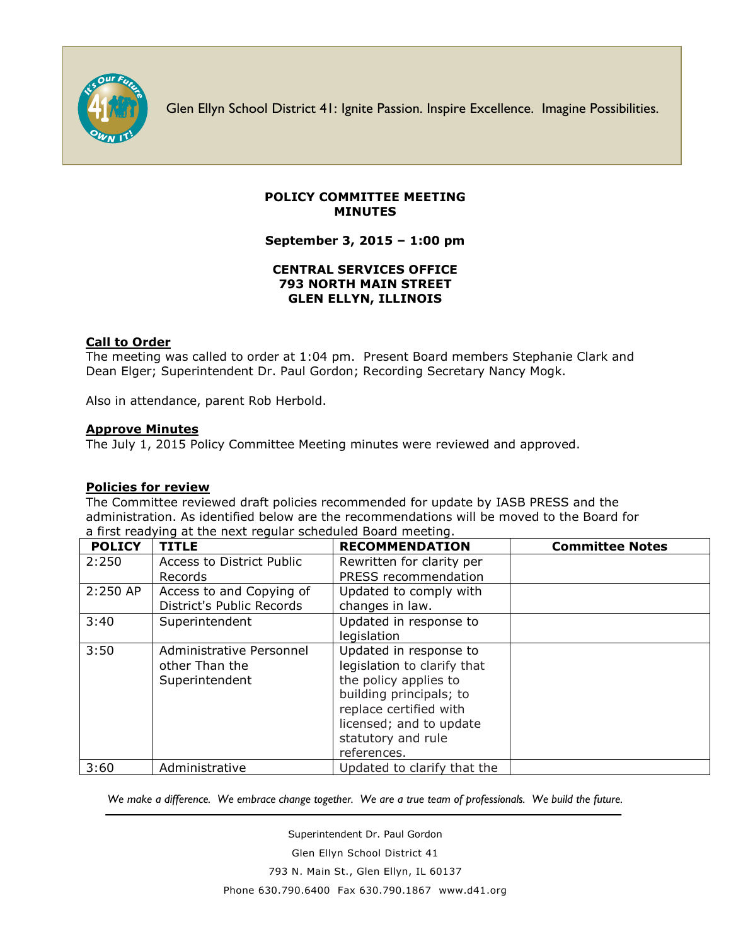

Glen Ellyn School District 41: Ignite Passion. Inspire Excellence. Imagine Possibilities.

### **POLICY COMMITTEE MEETING MINUTES**

**September 3, 2015 – 1:00 pm**

# **CENTRAL SERVICES OFFICE 793 NORTH MAIN STREET GLEN ELLYN, ILLINOIS**

### **Call to Order**

The meeting was called to order at 1:04 pm. Present Board members Stephanie Clark and Dean Elger; Superintendent Dr. Paul Gordon; Recording Secretary Nancy Mogk.

Also in attendance, parent Rob Herbold.

### **Approve Minutes**

The July 1, 2015 Policy Committee Meeting minutes were reviewed and approved.

#### **Policies for review**

The Committee reviewed draft policies recommended for update by IASB PRESS and the administration. As identified below are the recommendations will be moved to the Board for a first readying at the next regular scheduled Board meeting.

| <b>POLICY</b> | <b>TITLE</b>                                                 | <b>RECOMMENDATION</b>                                                                                                                                                                               | <b>Committee Notes</b> |
|---------------|--------------------------------------------------------------|-----------------------------------------------------------------------------------------------------------------------------------------------------------------------------------------------------|------------------------|
| 2:250         | Access to District Public<br>Records                         | Rewritten for clarity per<br>PRESS recommendation                                                                                                                                                   |                        |
| 2:250 AP      | Access to and Copying of<br>District's Public Records        | Updated to comply with<br>changes in law.                                                                                                                                                           |                        |
| 3:40          | Superintendent                                               | Updated in response to<br>legislation                                                                                                                                                               |                        |
| 3:50          | Administrative Personnel<br>other Than the<br>Superintendent | Updated in response to<br>legislation to clarify that<br>the policy applies to<br>building principals; to<br>replace certified with<br>licensed; and to update<br>statutory and rule<br>references. |                        |
| 3:60          | Administrative                                               | Updated to clarify that the                                                                                                                                                                         |                        |

We make a difference. We embrace change together. We are a true team of professionals. We build the future.

Superintendent Dr. Paul Gordon Glen Ellyn School District 41 793 N. Main St., Glen Ellyn, IL 60137 Phone 630.790.6400 Fax 630.790.1867 www.d41.org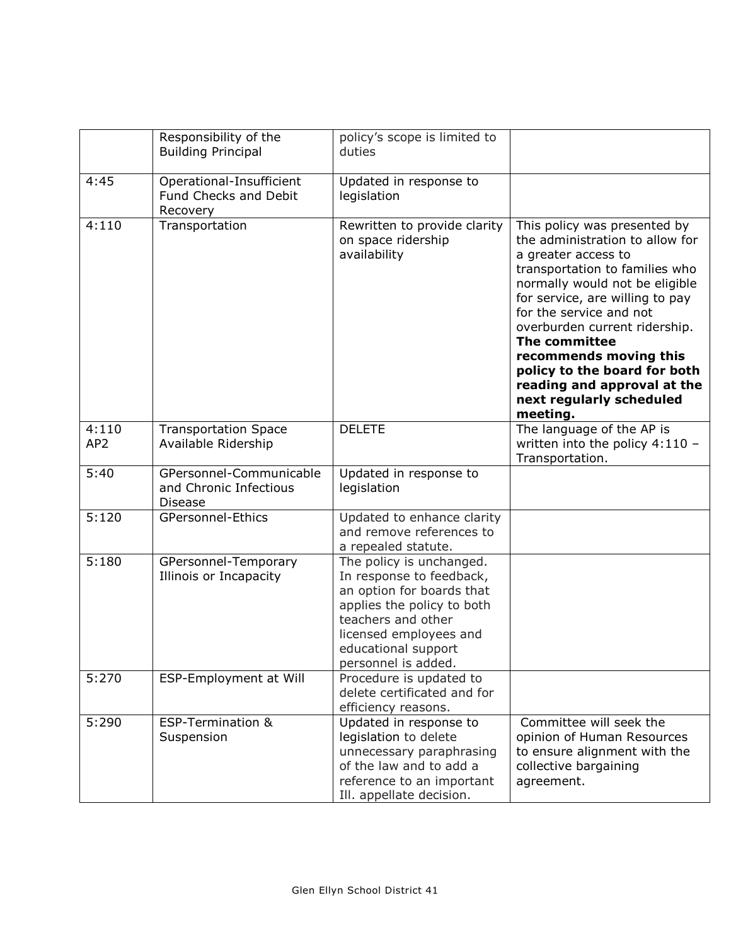|                 | Responsibility of the<br><b>Building Principal</b>                  | policy's scope is limited to<br>duties                                                                                                                                                                        |                                                                                                                                                                                                                                                                                                                                                                                                             |
|-----------------|---------------------------------------------------------------------|---------------------------------------------------------------------------------------------------------------------------------------------------------------------------------------------------------------|-------------------------------------------------------------------------------------------------------------------------------------------------------------------------------------------------------------------------------------------------------------------------------------------------------------------------------------------------------------------------------------------------------------|
| 4:45            | Operational-Insufficient<br>Fund Checks and Debit<br>Recovery       | Updated in response to<br>legislation                                                                                                                                                                         |                                                                                                                                                                                                                                                                                                                                                                                                             |
| 4:110           | Transportation                                                      | Rewritten to provide clarity<br>on space ridership<br>availability                                                                                                                                            | This policy was presented by<br>the administration to allow for<br>a greater access to<br>transportation to families who<br>normally would not be eligible<br>for service, are willing to pay<br>for the service and not<br>overburden current ridership.<br>The committee<br>recommends moving this<br>policy to the board for both<br>reading and approval at the<br>next regularly scheduled<br>meeting. |
| 4:110           | <b>Transportation Space</b>                                         | <b>DELETE</b>                                                                                                                                                                                                 | The language of the AP is                                                                                                                                                                                                                                                                                                                                                                                   |
| AP <sub>2</sub> | Available Ridership                                                 |                                                                                                                                                                                                               | written into the policy $4:110 -$<br>Transportation.                                                                                                                                                                                                                                                                                                                                                        |
| 5:40            | GPersonnel-Communicable<br>and Chronic Infectious<br><b>Disease</b> | Updated in response to<br>legislation                                                                                                                                                                         |                                                                                                                                                                                                                                                                                                                                                                                                             |
| 5:120           | GPersonnel-Ethics                                                   | Updated to enhance clarity<br>and remove references to<br>a repealed statute.                                                                                                                                 |                                                                                                                                                                                                                                                                                                                                                                                                             |
| 5:180           | GPersonnel-Temporary<br>Illinois or Incapacity                      | The policy is unchanged.<br>In response to feedback,<br>an option for boards that<br>applies the policy to both<br>teachers and other<br>licensed employees and<br>educational support<br>personnel is added. |                                                                                                                                                                                                                                                                                                                                                                                                             |
| 5:270           | ESP-Employment at Will                                              | Procedure is updated to<br>delete certificated and for<br>efficiency reasons.                                                                                                                                 |                                                                                                                                                                                                                                                                                                                                                                                                             |
| 5:290           | <b>ESP-Termination &amp;</b><br>Suspension                          | Updated in response to<br>legislation to delete<br>unnecessary paraphrasing<br>of the law and to add a<br>reference to an important<br>Ill. appellate decision.                                               | Committee will seek the<br>opinion of Human Resources<br>to ensure alignment with the<br>collective bargaining<br>agreement.                                                                                                                                                                                                                                                                                |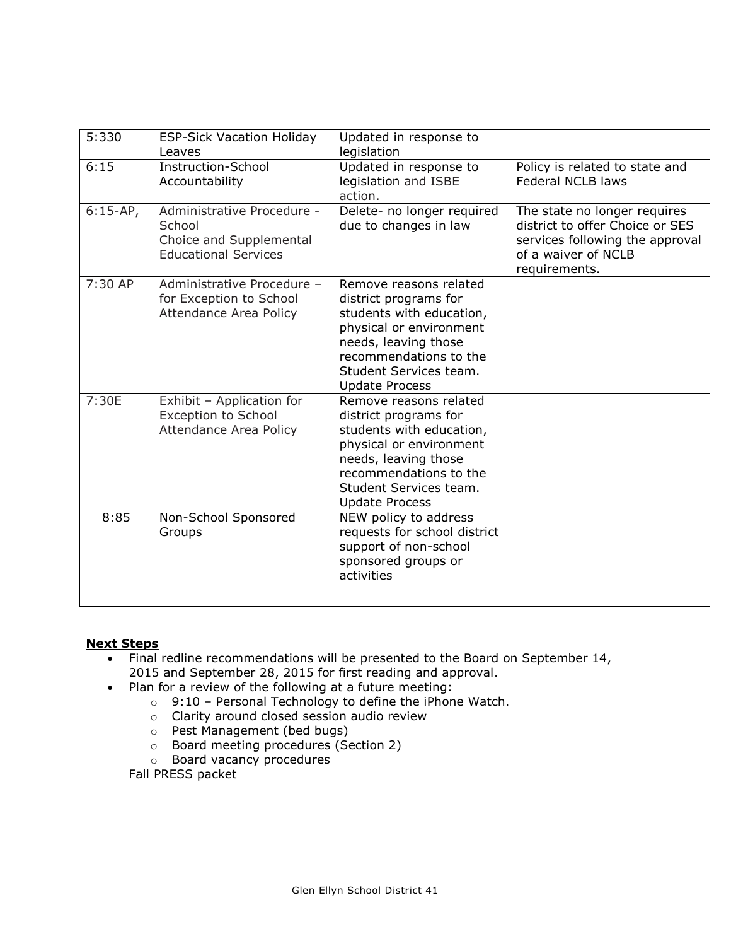| 5:330      | <b>ESP-Sick Vacation Holiday</b><br>Leaves                                                     | Updated in response to<br>legislation                                                                                                                                                                       |                                                                                                                                            |
|------------|------------------------------------------------------------------------------------------------|-------------------------------------------------------------------------------------------------------------------------------------------------------------------------------------------------------------|--------------------------------------------------------------------------------------------------------------------------------------------|
| 6:15       | Instruction-School<br>Accountability                                                           | Updated in response to<br>legislation and ISBE<br>action.                                                                                                                                                   | Policy is related to state and<br><b>Federal NCLB laws</b>                                                                                 |
| $6:15-AP,$ | Administrative Procedure -<br>School<br>Choice and Supplemental<br><b>Educational Services</b> | Delete- no longer required<br>due to changes in law                                                                                                                                                         | The state no longer requires<br>district to offer Choice or SES<br>services following the approval<br>of a waiver of NCLB<br>requirements. |
| $7:30$ AP  | Administrative Procedure -<br>for Exception to School<br>Attendance Area Policy                | Remove reasons related<br>district programs for<br>students with education,<br>physical or environment<br>needs, leaving those<br>recommendations to the<br>Student Services team.<br><b>Update Process</b> |                                                                                                                                            |
| 7:30E      | Exhibit - Application for<br><b>Exception to School</b><br>Attendance Area Policy              | Remove reasons related<br>district programs for<br>students with education,<br>physical or environment<br>needs, leaving those<br>recommendations to the<br>Student Services team.<br><b>Update Process</b> |                                                                                                                                            |
| 8:85       | Non-School Sponsored<br>Groups                                                                 | NEW policy to address<br>requests for school district<br>support of non-school<br>sponsored groups or<br>activities                                                                                         |                                                                                                                                            |

# **Next Steps**

- Final redline recommendations will be presented to the Board on September 14, 2015 and September 28, 2015 for first reading and approval.
- Plan for a review of the following at a future meeting:
	- o 9:10 Personal Technology to define the iPhone Watch.
	- o Clarity around closed session audio review
	- o Pest Management (bed bugs)
	- o Board meeting procedures (Section 2)
	- o Board vacancy procedures

Fall PRESS packet